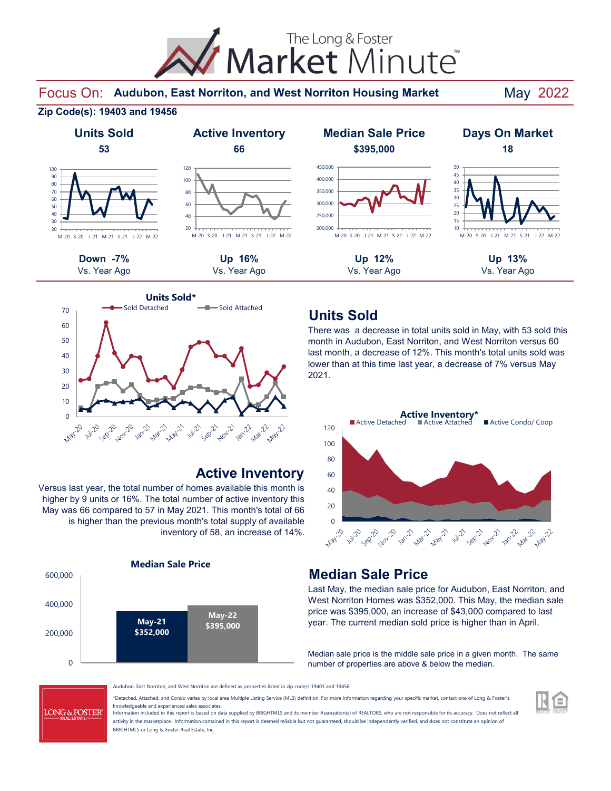

Focus On: Audubon, East Norriton, and West Norriton Housing Market May 2022

#### **Zip Code(s): 19403 and 19456**



### 20 40 60 80 100 120 M-20 S-20 J-21 M-21 S-21 J-22 M-22



#### **Active Inventory**

Versus last year, the total number of homes available this month is higher by 9 units or 16%. The total number of active inventory this May was 66 compared to 57 in May 2021. This month's total of 66 is higher than the previous month's total supply of available inventory of 58, an increase of 14%.





### **Units Sold**

There was a decrease in total units sold in May, with 53 sold this month in Audubon, East Norriton, and West Norriton versus 60 last month, a decrease of 12%. This month's total units sold was lower than at this time last year, a decrease of 7% versus May 2021.



#### **Median Sale Price**

Last May, the median sale price for Audubon, East Norriton, and West Norriton Homes was \$352,000. This May, the median sale price was \$395,000, an increase of \$43,000 compared to last year. The current median sold price is higher than in April.

Median sale price is the middle sale price in a given month. The same number of properties are above & below the median.



Audubon, East Norriton, and West Norriton are defined as properties listed in zip code/s 19403 and 19456.

\*Detached, Attached, and Condo varies by local area Multiple Listing Service (MLS) definition. For more information regarding your specific market, contact one of Long & Foster's knowledgeable and experienced sales associates.

Information included in this report is based on data supplied by BRIGHTMLS and its member Association(s) of REALTORS, who are not responsible for its accuracy. Does not reflect all activity in the marketplace. Information contained in this report is deemed reliable but not guaranteed, should be independently verified, and does not constitute an opinion of BRIGHTMLS or Long & Foster Real Estate, Inc.